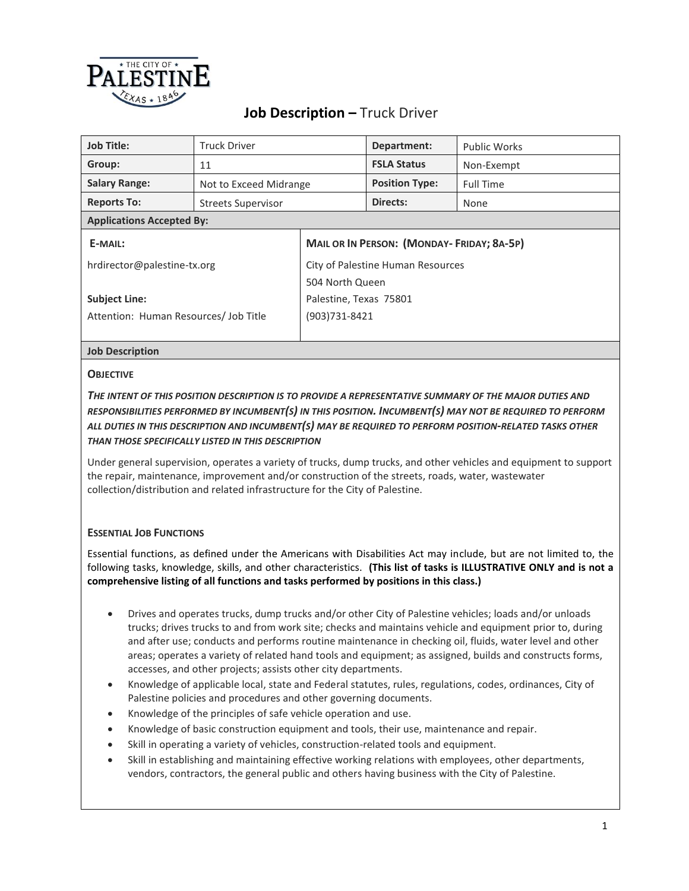

# **Job Description –** Truck Driver

| <b>Job Title:</b>                     | <b>Truck Driver</b>       |                                                  | Department:           | <b>Public Works</b> |  |
|---------------------------------------|---------------------------|--------------------------------------------------|-----------------------|---------------------|--|
| Group:                                | 11                        |                                                  | <b>FSLA Status</b>    | Non-Exempt          |  |
| <b>Salary Range:</b>                  | Not to Exceed Midrange    |                                                  | <b>Position Type:</b> | <b>Full Time</b>    |  |
| <b>Reports To:</b>                    | <b>Streets Supervisor</b> |                                                  | Directs:              | None                |  |
| <b>Applications Accepted By:</b>      |                           |                                                  |                       |                     |  |
| E-MAIL:                               |                           | <b>MAIL OR IN PERSON: (MONDAY-FRIDAY; 8A-5P)</b> |                       |                     |  |
| hrdirector@palestine-tx.org           |                           | City of Palestine Human Resources                |                       |                     |  |
|                                       |                           | 504 North Queen                                  |                       |                     |  |
| <b>Subject Line:</b>                  |                           | Palestine, Texas 75801                           |                       |                     |  |
| Attention: Human Resources/ Job Title |                           | (903)731-8421                                    |                       |                     |  |
|                                       |                           |                                                  |                       |                     |  |

## **Job Description**

## **OBJECTIVE**

# *THE INTENT OF THIS POSITION DESCRIPTION IS TO PROVIDE A REPRESENTATIVE SUMMARY OF THE MAJOR DUTIES AND RESPONSIBILITIES PERFORMED BY INCUMBENT(S) IN THIS POSITION. INCUMBENT(S) MAY NOT BE REQUIRED TO PERFORM ALL DUTIES IN THIS DESCRIPTION AND INCUMBENT(S) MAY BE REQUIRED TO PERFORM POSITION-RELATED TASKS OTHER THAN THOSE SPECIFICALLY LISTED IN THIS DESCRIPTION*

Under general supervision, operates a variety of trucks, dump trucks, and other vehicles and equipment to support the repair, maintenance, improvement and/or construction of the streets, roads, water, wastewater collection/distribution and related infrastructure for the City of Palestine.

# **ESSENTIAL JOB FUNCTIONS**

Essential functions, as defined under the Americans with Disabilities Act may include, but are not limited to, the following tasks, knowledge, skills, and other characteristics. **(This list of tasks is ILLUSTRATIVE ONLY and is not a comprehensive listing of all functions and tasks performed by positions in this class.)**

- Drives and operates trucks, dump trucks and/or other City of Palestine vehicles; loads and/or unloads trucks; drives trucks to and from work site; checks and maintains vehicle and equipment prior to, during and after use; conducts and performs routine maintenance in checking oil, fluids, water level and other areas; operates a variety of related hand tools and equipment; as assigned, builds and constructs forms, accesses, and other projects; assists other city departments.
- Knowledge of applicable local, state and Federal statutes, rules, regulations, codes, ordinances, City of Palestine policies and procedures and other governing documents.
- Knowledge of the principles of safe vehicle operation and use.
- Knowledge of basic construction equipment and tools, their use, maintenance and repair.
- Skill in operating a variety of vehicles, construction-related tools and equipment.
- Skill in establishing and maintaining effective working relations with employees, other departments, vendors, contractors, the general public and others having business with the City of Palestine.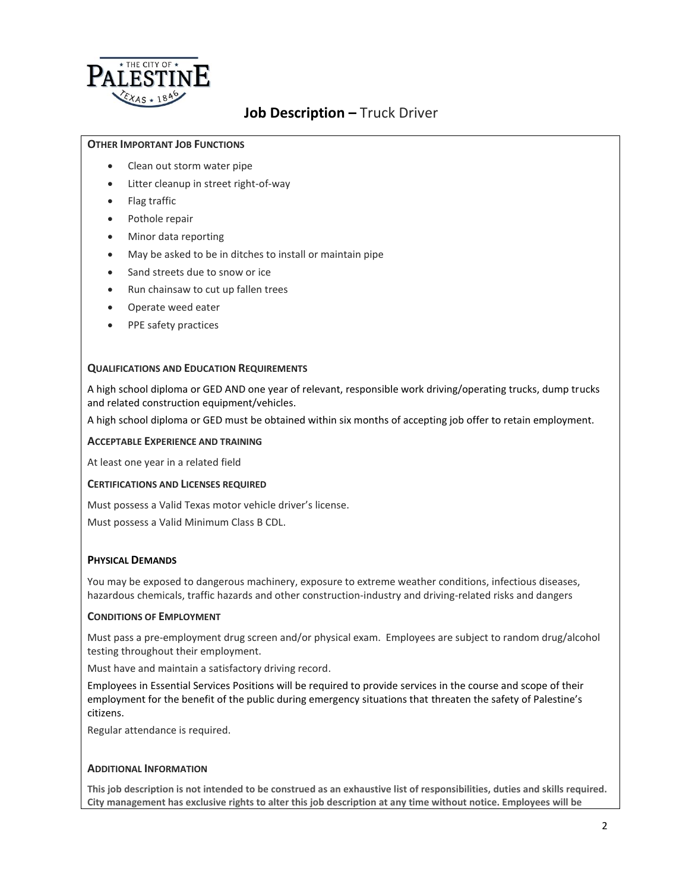

# **Job Description –** Truck Driver

## **OTHER IMPORTANT JOB FUNCTIONS**

- Clean out storm water pipe
- Litter cleanup in street right-of-way
- Flag traffic
- Pothole repair
- Minor data reporting
- May be asked to be in ditches to install or maintain pipe
- Sand streets due to snow or ice
- Run chainsaw to cut up fallen trees
- Operate weed eater
- PPE safety practices

## **QUALIFICATIONS AND EDUCATION REQUIREMENTS**

A high school diploma or GED AND one year of relevant, responsible work driving/operating trucks, dump trucks and related construction equipment/vehicles.

A high school diploma or GED must be obtained within six months of accepting job offer to retain employment.

#### **ACCEPTABLE EXPERIENCE AND TRAINING**

At least one year in a related field

#### **CERTIFICATIONS AND LICENSES REQUIRED**

Must possess a Valid Texas motor vehicle driver's license.

Must possess a Valid Minimum Class B CDL.

#### **PHYSICAL DEMANDS**

You may be exposed to dangerous machinery, exposure to extreme weather conditions, infectious diseases, hazardous chemicals, traffic hazards and other construction-industry and driving-related risks and dangers

#### **CONDITIONS OF EMPLOYMENT**

Must pass a pre-employment drug screen and/or physical exam. Employees are subject to random drug/alcohol testing throughout their employment.

Must have and maintain a satisfactory driving record.

Employees in Essential Services Positions will be required to provide services in the course and scope of their employment for the benefit of the public during emergency situations that threaten the safety of Palestine's citizens.

Regular attendance is required.

#### **ADDITIONAL INFORMATION**

**This job description is not intended to be construed as an exhaustive list of responsibilities, duties and skills required. City management has exclusive rights to alter this job description at any time without notice. Employees will be**